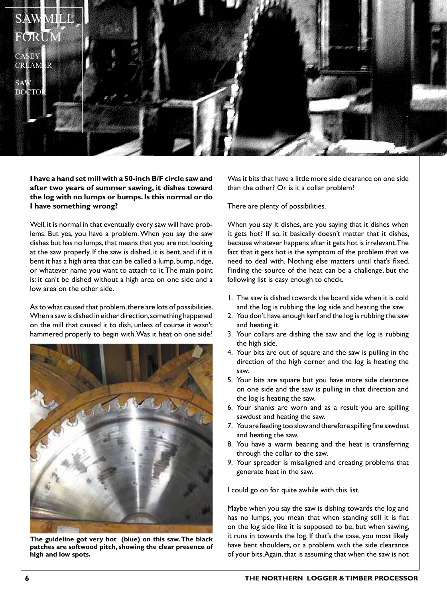

## **I have a hand set mill with a 50-inch B/F circle saw and after two years of summer sawing, it dishes toward the log with no lumps or bumps. Is this normal or do I have something wrong?**

Well, it is normal in that eventually every saw will have problems. But yes, you have a problem. When you say the saw dishes but has no lumps, that means that you are not looking at the saw properly. If the saw is dished, it is bent, and if it is bent it has a high area that can be called a lump, bump, ridge, or whatever name you want to attach to it. The main point is: it can't be dished without a high area on one side and a low area on the other side.

As to what caused that problem, there are lots of possibilities. When a saw is dished in either direction, something happened on the mill that caused it to dish, unless of course it wasn't hammered properly to begin with. Was it heat on one side?



**The guideline got very hot (blue) on this saw. The black patches are softwood pitch, showing the clear presence of high and low spots.**

Was it bits that have a little more side clearance on one side than the other? Or is it a collar problem?

There are plenty of possibilities.

When you say it dishes, are you saying that it dishes when it gets hot? If so, it basically doesn't matter that it dishes, because whatever happens after it gets hot is irrelevant. The fact that it gets hot is the symptom of the problem that we need to deal with. Nothing else matters until that's fixed. Finding the source of the heat can be a challenge, but the following list is easy enough to check.

- 1. The saw is dished towards the board side when it is cold and the log is rubbing the log side and heating the saw.
- 2. You don't have enough kerf and the log is rubbing the saw and heating it.
- 3. Your collars are dishing the saw and the log is rubbing the high side.
- 4. Your bits are out of square and the saw is pulling in the direction of the high corner and the log is heating the saw.
- 5. Your bits are square but you have more side clearance on one side and the saw is pulling in that direction and the log is heating the saw.
- 6. Your shanks are worn and as a result you are spilling sawdust and heating the saw.
- 7. You are feeding too slow and therefore spilling fine sawdust and heating the saw.
- 8. You have a warm bearing and the heat is transferring through the collar to the saw.
- 9. Your spreader is misaligned and creating problems that generate heat in the saw.

I could go on for quite awhile with this list.

Maybe when you say the saw is dishing towards the log and has no lumps, you mean that when standing still it is flat on the log side like it is supposed to be, but when sawing, it runs in towards the log. If that's the case, you most likely have bent shoulders, or a problem with the side clearance of your bits. Again, that is assuming that when the saw is not